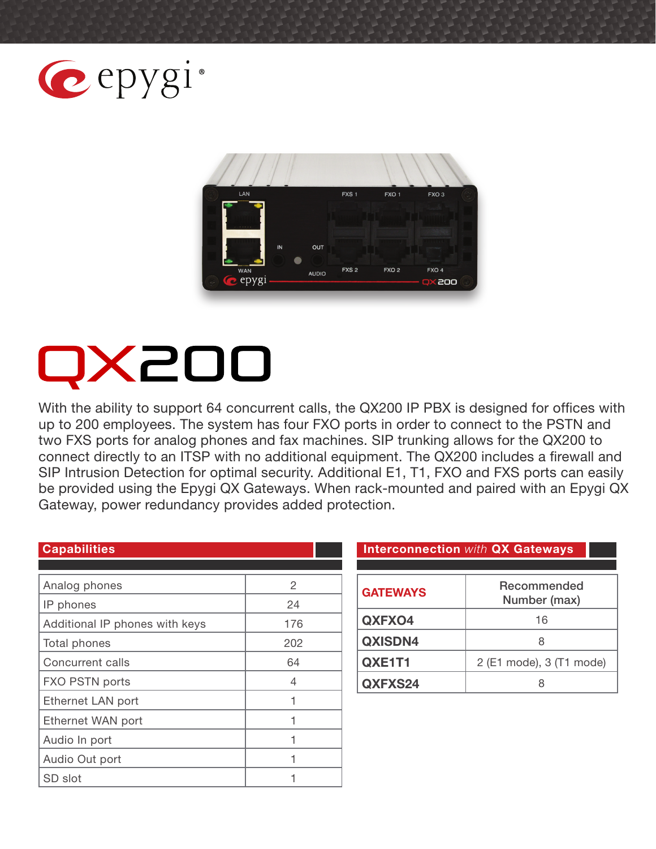



# QX200

With the ability to support 64 concurrent calls, the QX200 IP PBX is designed for offices with up to 200 employees. The system has four FXO ports in order to connect to the PSTN and two FXS ports for analog phones and fax machines. SIP trunking allows for the QX200 to connect directly to an ITSP with no additional equipment. The QX200 includes a firewall and SIP Intrusion Detection for optimal security. Additional E1, T1, FXO and FXS ports can easily be provided using the Epygi QX Gateways. When rack-mounted and paired with an Epygi QX Gateway, power redundancy provides added protection.

| <b>Capabilities</b>            |     |
|--------------------------------|-----|
|                                |     |
| Analog phones                  | 2   |
| IP phones                      | 24  |
| Additional IP phones with keys | 176 |
| Total phones                   | 202 |
| Concurrent calls               | 64  |
| FXO PSTN ports                 | 4   |
| Ethernet LAN port              | 1   |
| Ethernet WAN port              |     |
| Audio In port                  |     |
| Audio Out port                 |     |
| SD slot                        |     |

#### **Interconnection with QX Gateways**

| <b>GATEWAYS</b> | Recommended<br>Number (max) |
|-----------------|-----------------------------|
| QXFXO4          | 16                          |
| QXISDN4         |                             |
| QXE1T1          | 2 (E1 mode), 3 (T1 mode)    |
| QXFXS24         |                             |